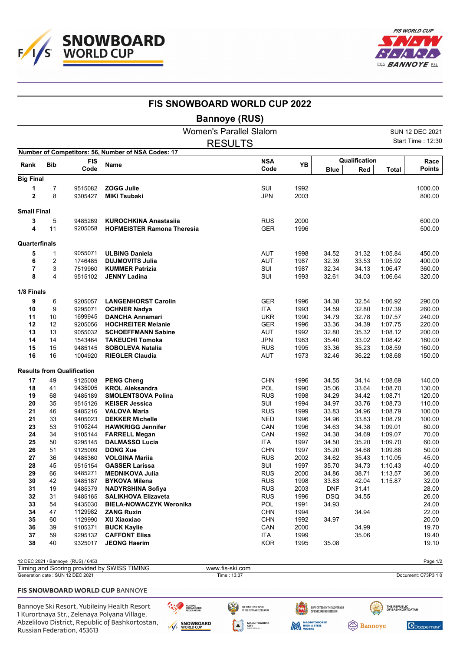



|                    |                |                                    | <b>FIS SNOWBOARD WORLD CUP 2022</b>                |                                |                          |              |                     |                      |              |                          |
|--------------------|----------------|------------------------------------|----------------------------------------------------|--------------------------------|--------------------------|--------------|---------------------|----------------------|--------------|--------------------------|
|                    |                |                                    |                                                    | <b>Bannoye (RUS)</b>           |                          |              |                     |                      |              |                          |
|                    |                |                                    |                                                    | <b>Women's Parallel Slalom</b> |                          |              |                     |                      |              | SUN 12 DEC 2021          |
|                    |                |                                    |                                                    | <b>RESULTS</b>                 |                          |              |                     |                      |              | <b>Start Time: 12:30</b> |
|                    |                |                                    | Number of Competitors: 56, Number of NSA Codes: 17 |                                |                          |              |                     |                      |              |                          |
| Rank               | <b>Bib</b>     | <b>FIS</b><br>Code                 | Name                                               |                                | <b>NSA</b><br>Code       | <b>YB</b>    | <b>Blue</b>         | Qualification<br>Red | <b>Total</b> | Race<br><b>Points</b>    |
| <b>Big Final</b>   |                |                                    |                                                    |                                |                          |              |                     |                      |              |                          |
| 1                  | 7              | 9515082                            | <b>ZOGG Julie</b>                                  |                                | SUI                      | 1992         |                     |                      |              | 1000.00                  |
| $\overline{2}$     | 8              | 9305427                            | <b>MIKI Tsubaki</b>                                |                                | <b>JPN</b>               | 2003         |                     |                      |              | 800.00                   |
| <b>Small Final</b> |                |                                    |                                                    |                                |                          |              |                     |                      |              |                          |
| 3                  | 5              | 9485269                            | <b>KUROCHKINA Anastasiia</b>                       |                                | <b>RUS</b>               | 2000         |                     |                      |              | 600.00                   |
| 4                  | 11             | 9205058                            | <b>HOFMEISTER Ramona Theresia</b>                  |                                | <b>GER</b>               | 1996         |                     |                      |              | 500.00                   |
| Quarterfinals      |                |                                    |                                                    |                                |                          |              |                     |                      |              |                          |
| 5                  | 1              | 9055071                            | <b>ULBING Daniela</b>                              |                                | AUT                      | 1998         | 34.52               | 31.32                | 1:05.84      | 450.00                   |
| 6                  | $\overline{2}$ | 1746485                            | <b>DUJMOVITS Julia</b>                             |                                | AUT                      | 1987         | 32.39               | 33.53                | 1:05.92      | 400.00                   |
| 7                  | 3              | 7519960                            | <b>KUMMER Patrizia</b>                             |                                | SUI                      | 1987         | 32.34               | 34.13                | 1:06.47      | 360.00                   |
| 8                  | 4              | 9515102                            | <b>JENNY Ladina</b>                                |                                | SUI                      | 1993         | 32.61               | 34.03                | 1:06.64      | 320.00                   |
| 1/8 Finals         |                |                                    |                                                    |                                |                          |              |                     |                      |              |                          |
| 9                  | 6              | 9205057                            | <b>LANGENHORST Carolin</b>                         |                                | <b>GER</b>               | 1996         | 34.38               | 32.54                | 1:06.92      | 290.00                   |
| 10                 | 9              | 9295071                            | <b>OCHNER Nadya</b>                                |                                | <b>ITA</b>               | 1993         | 34.59               | 32.80                | 1:07.39      | 260.00                   |
| 11                 | 10             | 1699945                            | <b>DANCHA Annamari</b>                             |                                | <b>UKR</b>               | 1990         | 34.79               | 32.78                | 1:07.57      | 240.00                   |
| 12                 | 12             | 9205056                            | <b>HOCHREITER Melanie</b>                          |                                | <b>GER</b>               | 1996         | 33.36               | 34.39                | 1:07.75      | 220.00                   |
| 13                 | 13             | 9055032                            | <b>SCHOEFFMANN Sabine</b>                          |                                | <b>AUT</b>               | 1992         | 32.80               | 35.32                | 1:08.12      | 200.00                   |
| 14                 | 14             | 1543464                            | <b>TAKEUCHI Tomoka</b>                             |                                | <b>JPN</b>               | 1983         | 35.40               | 33.02                | 1:08.42      | 180.00                   |
| 15                 | 15             | 9485145                            | <b>SOBOLEVA Natalia</b>                            |                                | <b>RUS</b>               | 1995         | 33.36               | 35.23                | 1:08.59      | 160.00                   |
| 16                 | 16             | 1004920                            | <b>RIEGLER Claudia</b>                             |                                | <b>AUT</b>               | 1973         | 32.46               | 36.22                | 1:08.68      | 150.00                   |
|                    |                | <b>Results from Qualification</b>  |                                                    |                                |                          |              |                     |                      |              |                          |
| 17                 | 49             | 9125008                            | <b>PENG Cheng</b>                                  |                                | <b>CHN</b>               | 1996         | 34.55               | 34.14                | 1:08.69      | 140.00                   |
| 18                 | 41             | 9435005                            | <b>KROL Aleksandra</b>                             |                                | POL                      | 1990         | 35.06               | 33.64                | 1:08.70      | 130.00                   |
| 19                 | 68             | 9485189                            | <b>SMOLENTSOVA Polina</b>                          |                                | <b>RUS</b>               | 1998         | 34.29               | 34.42                | 1:08.71      | 120.00                   |
| 20                 | 35             | 9515126                            | <b>KEISER Jessica</b>                              |                                | SUI                      | 1994         | 34.97               | 33.76                | 1:08.73      | 110.00                   |
| 21                 | 46             | 9485216                            | <b>VALOVA Maria</b>                                |                                | <b>RUS</b>               | 1999         | 33.83               | 34.96                | 1:08.79      | 100.00                   |
| 21                 | 33             | 9405023                            | <b>DEKKER Michelle</b>                             |                                | <b>NED</b>               | 1996         | 34.96               | 33.83                | 1:08.79      | 100.00                   |
| 23                 | 53             | 9105244                            | <b>HAWKRIGG Jennifer</b>                           |                                | CAN                      | 1996         | 34.63               | 34.38                | 1:09.01      | 80.00                    |
| 24                 | 34             | 9105144                            | <b>FARRELL Megan</b>                               |                                | CAN                      | 1992         | 34.38               | 34.69                | 1:09.07      | 70.00                    |
| 25                 | 50             | 9295145                            | <b>DALMASSO Lucia</b>                              |                                | ITA                      | 1997         | 34.50               | 35.20                | 1:09.70      | 60.00                    |
| 26                 | 51             | 9125009                            | <b>DONG Xue</b>                                    |                                | <b>CHN</b>               | 1997         | 35.20               | 34.68                | 1:09.88      | 50.00                    |
| 27                 | 36             | 9485360                            | <b>VOLGINA Mariia</b>                              |                                | <b>RUS</b>               | 2002         | 34.62               | 35.43                | 1:10.05      | 45.00                    |
| 28                 | 45             | 9515154                            | <b>GASSER Larissa</b>                              |                                | SUI                      | 1997         | 35.70               | 34.73                | 1:10.43      | 40.00                    |
| 29                 | 66             | 9485271<br>9485187                 | <b>MEDNIKOVA Julia</b>                             |                                | <b>RUS</b>               | 2000         | 34.86               | 38.71                | 1:13.57      | 36.00                    |
| 30<br>31           | 42<br>19       | 9485379                            | <b>BYKOVA Milena</b><br><b>NADYRSHINA Sofiya</b>   |                                | <b>RUS</b><br><b>RUS</b> | 1998<br>2003 | 33.83<br><b>DNF</b> | 42.04<br>31.41       | 1:15.87      | 32.00<br>28.00           |
| 32                 | 31             | 9485165                            | <b>SALIKHOVA Elizaveta</b>                         |                                | <b>RUS</b>               | 1996         | <b>DSQ</b>          | 34.55                |              | 26.00                    |
| 33                 | 54             | 9435030                            | <b>BIELA-NOWACZYK Weronika</b>                     |                                | POL                      | 1991         | 34.93               |                      |              | 24.00                    |
| 34                 | 47             | 1129982                            | <b>ZANG Ruxin</b>                                  |                                | <b>CHN</b>               | 1994         |                     | 34.94                |              | 22.00                    |
| 35                 | 60             | 1129990                            | XU Xiaoxiao                                        |                                | <b>CHN</b>               | 1992         | 34.97               |                      |              | 20.00                    |
| 36                 | 39             | 9105371                            | <b>BUCK Kaylie</b>                                 |                                | CAN                      | 2000         |                     | 34.99                |              | 19.70                    |
| 37                 | 59             | 9295132                            | <b>CAFFONT Elisa</b>                               |                                | ITA                      | 1999         |                     | 35.06                |              | 19.40                    |
| 38                 | 40             | 9325017                            | <b>JEONG Haerim</b>                                |                                | <b>KOR</b>               | 1995         | 35.08               |                      |              | 19.10                    |
|                    |                |                                    |                                                    |                                |                          |              |                     |                      |              |                          |
|                    |                | 12 DEC 2021 / Bannoye (RUS) / 6453 | Timing and Scoring provided by SWISS TIMING        | www.fis-ski.com                |                          |              |                     |                      |              | Page 1/2                 |
|                    |                | Generation date : SUN 12 DEC 2021  |                                                    | Time: 13:37                    |                          |              |                     |                      |              | Document: C73P3 1.0      |

## FIS SNOWBOARD WORLD CUP BANNOYE

Bannoye Ski Resort, Yubileiny Health Resort 1 Kurortnaya Str., Zelenaya Polyana Village, Abzelilovo District, Republic of Bashkortostan, Russian Federation, 453613



THE MINISTRY OF SPORT<br>Of the russian federation

 $\blacktriangle$ 

**MAGNITOGORSK**<br>CITY<br>Administration

SUPPORTED BY THE GOVERNOR<br>Of Chelyabinsk region

**MAGNITOGORSK** 



Doppelmayr